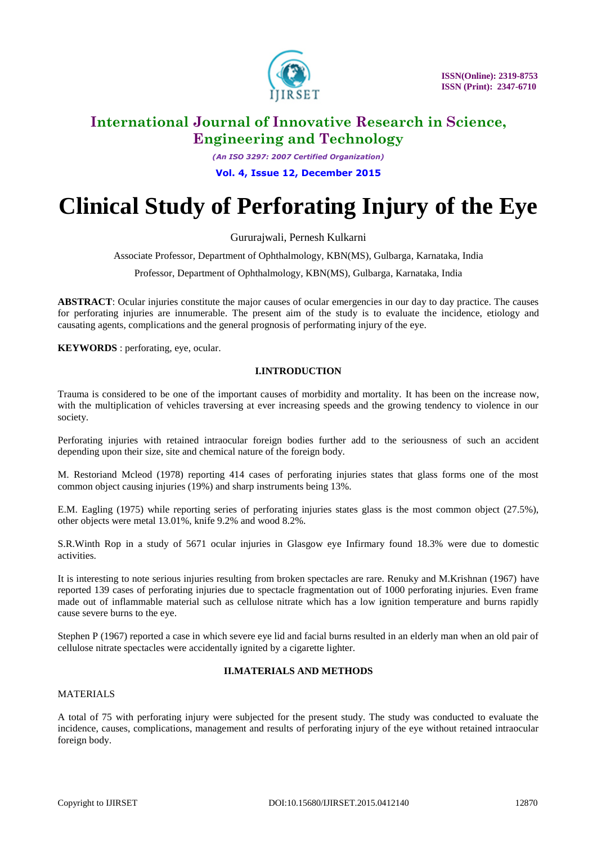

*(An ISO 3297: 2007 Certified Organization)*

**Vol. 4, Issue 12, December 2015**

# **Clinical Study of Perforating Injury of the Eye**

Gururajwali, Pernesh Kulkarni

Associate Professor, Department of Ophthalmology, KBN(MS), Gulbarga, Karnataka, India

Professor, Department of Ophthalmology, KBN(MS), Gulbarga, Karnataka, India

**ABSTRACT**: Ocular injuries constitute the major causes of ocular emergencies in our day to day practice. The causes for perforating injuries are innumerable. The present aim of the study is to evaluate the incidence, etiology and causating agents, complications and the general prognosis of performating injury of the eye.

**KEYWORDS**: perforating, eve, ocular.

# **I.INTRODUCTION**

Trauma is considered to be one of the important causes of morbidity and mortality. It has been on the increase now, with the multiplication of vehicles traversing at ever increasing speeds and the growing tendency to violence in our society.

Perforating injuries with retained intraocular foreign bodies further add to the seriousness of such an accident depending upon their size, site and chemical nature of the foreign body.

M. Restoriand Mcleod (1978) reporting 414 cases of perforating injuries states that glass forms one of the most common object causing injuries (19%) and sharp instruments being 13%.

E.M. Eagling (1975) while reporting series of perforating injuries states glass is the most common object (27.5%), other objects were metal 13.01%, knife 9.2% and wood 8.2%.

S.R.Winth Rop in a study of 5671 ocular injuries in Glasgow eye Infirmary found 18.3% were due to domestic activities.

It is interesting to note serious injuries resulting from broken spectacles are rare. Renuky and M.Krishnan (1967) have reported 139 cases of perforating injuries due to spectacle fragmentation out of 1000 perforating injuries. Even frame made out of inflammable material such as cellulose nitrate which has a low ignition temperature and burns rapidly cause severe burns to the eye.

Stephen P (1967) reported a case in which severe eye lid and facial burns resulted in an elderly man when an old pair of cellulose nitrate spectacles were accidentally ignited by a cigarette lighter.

# **II.MATERIALS AND METHODS**

### MATERIALS

A total of 75 with perforating injury were subjected for the present study. The study was conducted to evaluate the incidence, causes, complications, management and results of perforating injury of the eye without retained intraocular foreign body.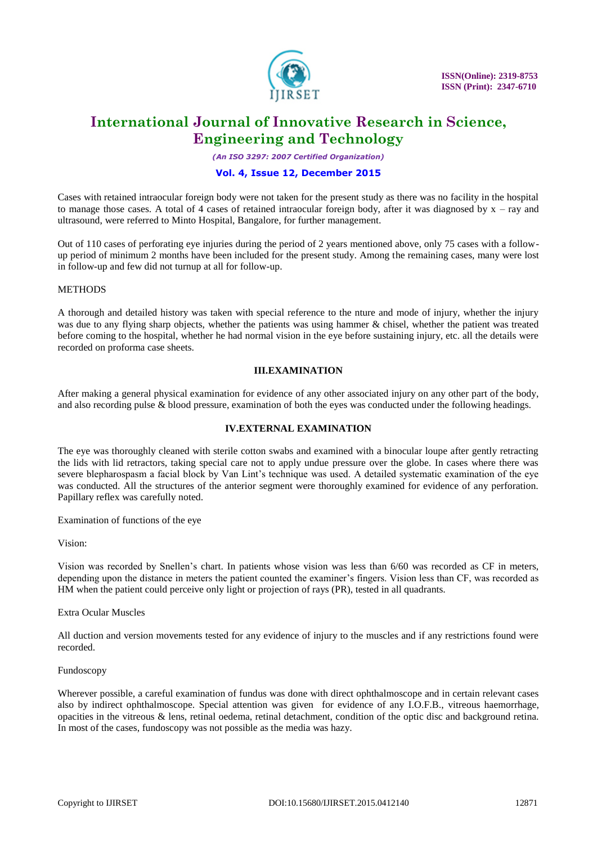

*(An ISO 3297: 2007 Certified Organization)*

### **Vol. 4, Issue 12, December 2015**

Cases with retained intraocular foreign body were not taken for the present study as there was no facility in the hospital to manage those cases. A total of 4 cases of retained intraocular foreign body, after it was diagnosed by  $x - ray$  and ultrasound, were referred to Minto Hospital, Bangalore, for further management.

Out of 110 cases of perforating eye injuries during the period of 2 years mentioned above, only 75 cases with a followup period of minimum 2 months have been included for the present study. Among the remaining cases, many were lost in follow-up and few did not turnup at all for follow-up.

### **METHODS**

A thorough and detailed history was taken with special reference to the nture and mode of injury, whether the injury was due to any flying sharp objects, whether the patients was using hammer & chisel, whether the patient was treated before coming to the hospital, whether he had normal vision in the eye before sustaining injury, etc. all the details were recorded on proforma case sheets.

### **III.EXAMINATION**

After making a general physical examination for evidence of any other associated injury on any other part of the body, and also recording pulse & blood pressure, examination of both the eyes was conducted under the following headings.

### **IV.EXTERNAL EXAMINATION**

The eye was thoroughly cleaned with sterile cotton swabs and examined with a binocular loupe after gently retracting the lids with lid retractors, taking special care not to apply undue pressure over the globe. In cases where there was severe blepharospasm a facial block by Van Lint's technique was used. A detailed systematic examination of the eye was conducted. All the structures of the anterior segment were thoroughly examined for evidence of any perforation. Papillary reflex was carefully noted.

Examination of functions of the eye

Vision:

Vision was recorded by Snellen's chart. In patients whose vision was less than 6/60 was recorded as CF in meters, depending upon the distance in meters the patient counted the examiner's fingers. Vision less than CF, was recorded as HM when the patient could perceive only light or projection of rays (PR), tested in all quadrants.

Extra Ocular Muscles

All duction and version movements tested for any evidence of injury to the muscles and if any restrictions found were recorded.

Fundoscopy

Wherever possible, a careful examination of fundus was done with direct ophthalmoscope and in certain relevant cases also by indirect ophthalmoscope. Special attention was given for evidence of any I.O.F.B., vitreous haemorrhage, opacities in the vitreous & lens, retinal oedema, retinal detachment, condition of the optic disc and background retina. In most of the cases, fundoscopy was not possible as the media was hazy.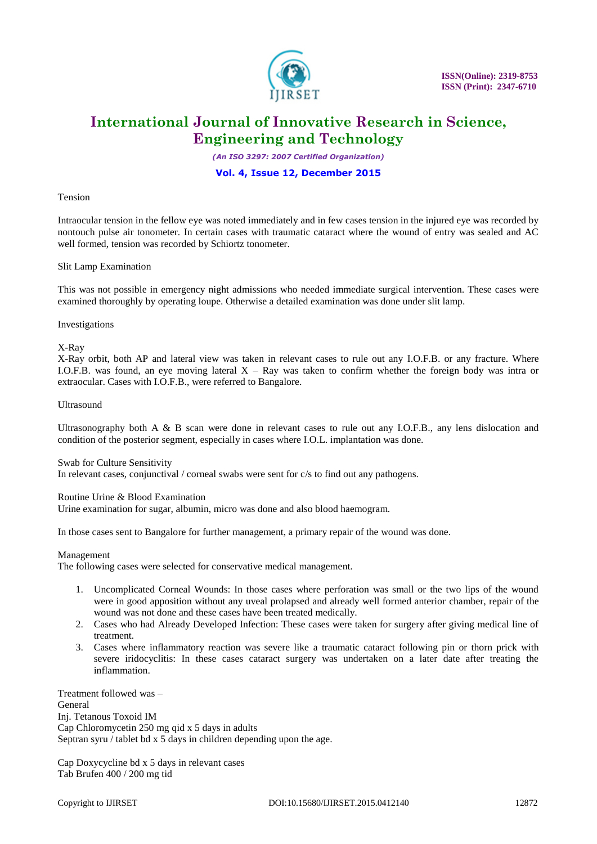

*(An ISO 3297: 2007 Certified Organization)*

### **Vol. 4, Issue 12, December 2015**

#### Tension

Intraocular tension in the fellow eye was noted immediately and in few cases tension in the injured eye was recorded by nontouch pulse air tonometer. In certain cases with traumatic cataract where the wound of entry was sealed and AC well formed, tension was recorded by Schiortz tonometer.

#### Slit Lamp Examination

This was not possible in emergency night admissions who needed immediate surgical intervention. These cases were examined thoroughly by operating loupe. Otherwise a detailed examination was done under slit lamp.

#### Investigations

X-Ray

X-Ray orbit, both AP and lateral view was taken in relevant cases to rule out any I.O.F.B. or any fracture. Where I.O.F.B. was found, an eye moving lateral  $X - Ray$  was taken to confirm whether the foreign body was intra or extraocular. Cases with I.O.F.B., were referred to Bangalore.

#### Ultrasound

Ultrasonography both A & B scan were done in relevant cases to rule out any I.O.F.B., any lens dislocation and condition of the posterior segment, especially in cases where I.O.L. implantation was done.

#### Swab for Culture Sensitivity

In relevant cases, conjunctival / corneal swabs were sent for c/s to find out any pathogens.

#### Routine Urine & Blood Examination

Urine examination for sugar, albumin, micro was done and also blood haemogram.

In those cases sent to Bangalore for further management, a primary repair of the wound was done.

#### Management

The following cases were selected for conservative medical management.

- 1. Uncomplicated Corneal Wounds: In those cases where perforation was small or the two lips of the wound were in good apposition without any uveal prolapsed and already well formed anterior chamber, repair of the wound was not done and these cases have been treated medically.
- 2. Cases who had Already Developed Infection: These cases were taken for surgery after giving medical line of treatment.
- 3. Cases where inflammatory reaction was severe like a traumatic cataract following pin or thorn prick with severe iridocyclitis: In these cases cataract surgery was undertaken on a later date after treating the inflammation.

Treatment followed was – General Inj. Tetanous Toxoid IM Cap Chloromycetin 250 mg qid x 5 days in adults Septran syru / tablet bd x 5 days in children depending upon the age.

Cap Doxycycline bd x 5 days in relevant cases Tab Brufen 400 / 200 mg tid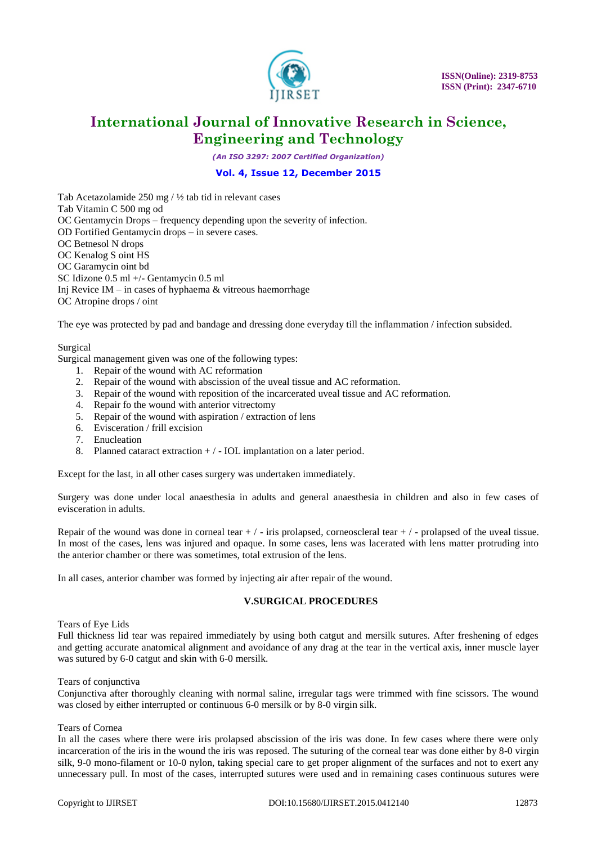

*(An ISO 3297: 2007 Certified Organization)*

### **Vol. 4, Issue 12, December 2015**

Tab Acetazolamide 250 mg / ½ tab tid in relevant cases Tab Vitamin C 500 mg od OC Gentamycin Drops – frequency depending upon the severity of infection. OD Fortified Gentamycin drops – in severe cases. OC Betnesol N drops OC Kenalog S oint HS OC Garamycin oint bd SC Idizone 0.5 ml +/- Gentamycin 0.5 ml Inj Revice IM – in cases of hyphaema  $&$  vitreous haemorrhage OC Atropine drops / oint

The eye was protected by pad and bandage and dressing done everyday till the inflammation / infection subsided.

#### Surgical

Surgical management given was one of the following types:

- 1. Repair of the wound with AC reformation
- 2. Repair of the wound with abscission of the uveal tissue and AC reformation.
- 3. Repair of the wound with reposition of the incarcerated uveal tissue and AC reformation.
- 4. Repair fo the wound with anterior vitrectomy
- 5. Repair of the wound with aspiration / extraction of lens
- 6. Evisceration / frill excision
- 7. Enucleation
- 8. Planned cataract extraction  $+/-$  IOL implantation on a later period.

Except for the last, in all other cases surgery was undertaken immediately.

Surgery was done under local anaesthesia in adults and general anaesthesia in children and also in few cases of evisceration in adults.

Repair of the wound was done in corneal tear  $+/-$  iris prolapsed, corneoscleral tear  $+/-$  prolapsed of the uveal tissue. In most of the cases, lens was injured and opaque. In some cases, lens was lacerated with lens matter protruding into the anterior chamber or there was sometimes, total extrusion of the lens.

In all cases, anterior chamber was formed by injecting air after repair of the wound.

### **V.SURGICAL PROCEDURES**

#### Tears of Eye Lids

Full thickness lid tear was repaired immediately by using both catgut and mersilk sutures. After freshening of edges and getting accurate anatomical alignment and avoidance of any drag at the tear in the vertical axis, inner muscle layer was sutured by 6-0 catgut and skin with 6-0 mersilk.

#### Tears of conjunctiva

Conjunctiva after thoroughly cleaning with normal saline, irregular tags were trimmed with fine scissors. The wound was closed by either interrupted or continuous 6-0 mersilk or by 8-0 virgin silk.

#### Tears of Cornea

In all the cases where there were iris prolapsed abscission of the iris was done. In few cases where there were only incarceration of the iris in the wound the iris was reposed. The suturing of the corneal tear was done either by 8-0 virgin silk, 9-0 mono-filament or 10-0 nylon, taking special care to get proper alignment of the surfaces and not to exert any unnecessary pull. In most of the cases, interrupted sutures were used and in remaining cases continuous sutures were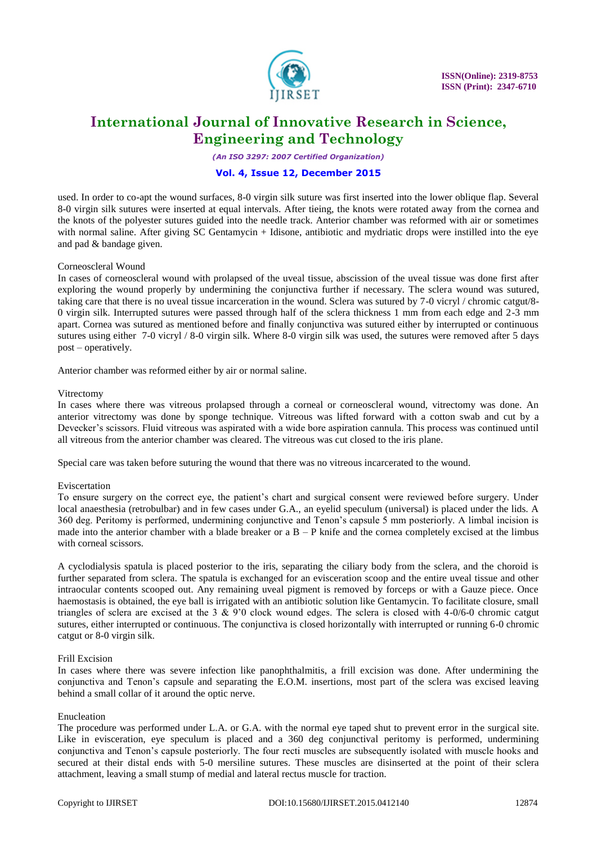

*(An ISO 3297: 2007 Certified Organization)*

### **Vol. 4, Issue 12, December 2015**

used. In order to co-apt the wound surfaces, 8-0 virgin silk suture was first inserted into the lower oblique flap. Several 8-0 virgin silk sutures were inserted at equal intervals. After tieing, the knots were rotated away from the cornea and the knots of the polyester sutures guided into the needle track. Anterior chamber was reformed with air or sometimes with normal saline. After giving SC Gentamycin + Idisone, antibiotic and mydriatic drops were instilled into the eye and pad & bandage given.

#### Corneoscleral Wound

In cases of corneoscleral wound with prolapsed of the uveal tissue, abscission of the uveal tissue was done first after exploring the wound properly by undermining the conjunctiva further if necessary. The sclera wound was sutured, taking care that there is no uveal tissue incarceration in the wound. Sclera was sutured by 7-0 vicryl / chromic catgut/8- 0 virgin silk. Interrupted sutures were passed through half of the sclera thickness 1 mm from each edge and 2-3 mm apart. Cornea was sutured as mentioned before and finally conjunctiva was sutured either by interrupted or continuous sutures using either 7-0 vicryl / 8-0 virgin silk. Where 8-0 virgin silk was used, the sutures were removed after 5 days post – operatively.

Anterior chamber was reformed either by air or normal saline.

#### Vitrectomy

In cases where there was vitreous prolapsed through a corneal or corneoscleral wound, vitrectomy was done. An anterior vitrectomy was done by sponge technique. Vitreous was lifted forward with a cotton swab and cut by a Devecker's scissors. Fluid vitreous was aspirated with a wide bore aspiration cannula. This process was continued until all vitreous from the anterior chamber was cleared. The vitreous was cut closed to the iris plane.

Special care was taken before suturing the wound that there was no vitreous incarcerated to the wound.

#### Eviscertation

To ensure surgery on the correct eye, the patient's chart and surgical consent were reviewed before surgery. Under local anaesthesia (retrobulbar) and in few cases under G.A., an eyelid speculum (universal) is placed under the lids. A 360 deg. Peritomy is performed, undermining conjunctive and Tenon's capsule 5 mm posteriorly. A limbal incision is made into the anterior chamber with a blade breaker or a  $B - P$  knife and the cornea completely excised at the limbus with corneal scissors.

A cyclodialysis spatula is placed posterior to the iris, separating the ciliary body from the sclera, and the choroid is further separated from sclera. The spatula is exchanged for an evisceration scoop and the entire uveal tissue and other intraocular contents scooped out. Any remaining uveal pigment is removed by forceps or with a Gauze piece. Once haemostasis is obtained, the eye ball is irrigated with an antibiotic solution like Gentamycin. To facilitate closure, small triangles of sclera are excised at the 3  $\&$  9'0 clock wound edges. The sclera is closed with 4-0/6-0 chromic catgut sutures, either interrupted or continuous. The conjunctiva is closed horizontally with interrupted or running 6-0 chromic catgut or 8-0 virgin silk.

#### Frill Excision

In cases where there was severe infection like panophthalmitis, a frill excision was done. After undermining the conjunctiva and Tenon's capsule and separating the E.O.M. insertions, most part of the sclera was excised leaving behind a small collar of it around the optic nerve.

#### Enucleation

The procedure was performed under L.A. or G.A. with the normal eye taped shut to prevent error in the surgical site. Like in evisceration, eye speculum is placed and a 360 deg conjunctival peritomy is performed, undermining conjunctiva and Tenon's capsule posteriorly. The four recti muscles are subsequently isolated with muscle hooks and secured at their distal ends with 5-0 mersiline sutures. These muscles are disinserted at the point of their sclera attachment, leaving a small stump of medial and lateral rectus muscle for traction.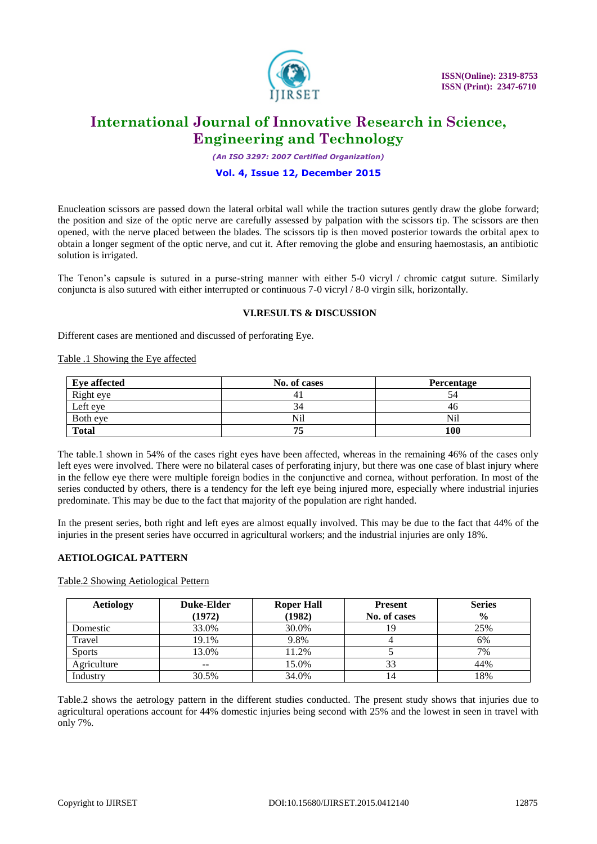

*(An ISO 3297: 2007 Certified Organization)*

### **Vol. 4, Issue 12, December 2015**

Enucleation scissors are passed down the lateral orbital wall while the traction sutures gently draw the globe forward; the position and size of the optic nerve are carefully assessed by palpation with the scissors tip. The scissors are then opened, with the nerve placed between the blades. The scissors tip is then moved posterior towards the orbital apex to obtain a longer segment of the optic nerve, and cut it. After removing the globe and ensuring haemostasis, an antibiotic solution is irrigated.

The Tenon's capsule is sutured in a purse-string manner with either 5-0 vicryl / chromic catgut suture. Similarly conjuncta is also sutured with either interrupted or continuous 7-0 vicryl / 8-0 virgin silk, horizontally.

#### **VI.RESULTS & DISCUSSION**

Different cases are mentioned and discussed of perforating Eye.

#### Table .1 Showing the Eye affected

| <b>Eye affected</b> | No. of cases | Percentage |
|---------------------|--------------|------------|
| Right eye           |              | 34         |
| Left eye            | 34           | 46         |
| Both eye            | Nil          | Nil        |
| <b>Total</b>        | 75           | 100        |

The table.1 shown in 54% of the cases right eyes have been affected, whereas in the remaining 46% of the cases only left eyes were involved. There were no bilateral cases of perforating injury, but there was one case of blast injury where in the fellow eye there were multiple foreign bodies in the conjunctive and cornea, without perforation. In most of the series conducted by others, there is a tendency for the left eye being injured more, especially where industrial injuries predominate. This may be due to the fact that majority of the population are right handed.

In the present series, both right and left eyes are almost equally involved. This may be due to the fact that 44% of the injuries in the present series have occurred in agricultural workers; and the industrial injuries are only 18%.

### **AETIOLOGICAL PATTERN**

#### Table.2 Showing Aetiological Pettern

| <b>Aetiology</b> | <b>Duke-Elder</b>        | <b>Roper Hall</b> | <b>Present</b> | <b>Series</b> |
|------------------|--------------------------|-------------------|----------------|---------------|
|                  | (1972)                   | (1982)            | No. of cases   | $\frac{0}{0}$ |
| Domestic         | 33.0%                    | 30.0%             | 19             | 25%           |
| Travel           | 19.1%                    | 9.8%              |                | 6%            |
| <b>Sports</b>    | 13.0%                    | 11.2%             |                | 7%            |
| Agriculture      | $\overline{\phantom{m}}$ | 15.0%             | 33             | 44%           |
| Industry         | 30.5%                    | 34.0%             | 14             | 18%           |

Table.2 shows the aetrology pattern in the different studies conducted. The present study shows that injuries due to agricultural operations account for 44% domestic injuries being second with 25% and the lowest in seen in travel with only 7%.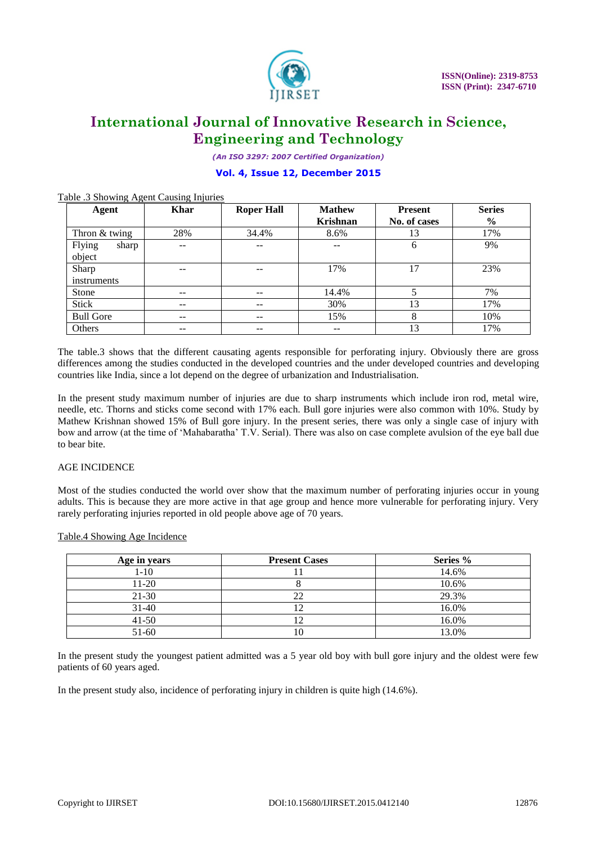

*(An ISO 3297: 2007 Certified Organization)*

# **Vol. 4, Issue 12, December 2015**

| Agent            | <b>Khar</b> | <b>Roper Hall</b> | <b>Mathew</b><br><b>Krishnan</b> | <b>Present</b><br>No. of cases | <b>Series</b><br>$\frac{0}{0}$ |
|------------------|-------------|-------------------|----------------------------------|--------------------------------|--------------------------------|
|                  |             |                   |                                  |                                |                                |
| Thron & twing    | 28%         | 34.4%             | 8.6%                             | 13                             | 17%                            |
| Flying<br>sharp  | --          | --                |                                  | 6                              | 9%                             |
| object           |             |                   |                                  |                                |                                |
| Sharp            | --          |                   | 17%                              | 17                             | 23%                            |
| instruments      |             |                   |                                  |                                |                                |
| <b>Stone</b>     | $- -$       | $- -$             | 14.4%                            |                                | 7%                             |
| Stick            | $- -$       | $- -$             | 30%                              | 13                             | 17%                            |
| <b>Bull Gore</b> | $- -$       | $- -$             | 15%                              | 8                              | 10%                            |
| Others           | --          | --                | --                               | 13                             | 17%                            |

#### Table .3 Showing Agent Causing Injuries

The table.3 shows that the different causating agents responsible for perforating injury. Obviously there are gross differences among the studies conducted in the developed countries and the under developed countries and developing countries like India, since a lot depend on the degree of urbanization and Industrialisation.

In the present study maximum number of injuries are due to sharp instruments which include iron rod, metal wire, needle, etc. Thorns and sticks come second with 17% each. Bull gore injuries were also common with 10%. Study by Mathew Krishnan showed 15% of Bull gore injury. In the present series, there was only a single case of injury with bow and arrow (at the time of 'Mahabaratha' T.V. Serial). There was also on case complete avulsion of the eye ball due to bear bite.

### AGE INCIDENCE

Most of the studies conducted the world over show that the maximum number of perforating injuries occur in young adults. This is because they are more active in that age group and hence more vulnerable for perforating injury. Very rarely perforating injuries reported in old people above age of 70 years.

#### Table.4 Showing Age Incidence

| Age in years | <b>Present Cases</b> | Series % |
|--------------|----------------------|----------|
| $1-10$       |                      | 14.6%    |
| 11-20        |                      | 10.6%    |
| $21-30$      |                      | 29.3%    |
| $31-40$      |                      | 16.0%    |
| $41 - 50$    |                      | 16.0%    |
| 51-60        |                      | 13.0%    |

In the present study the youngest patient admitted was a 5 year old boy with bull gore injury and the oldest were few patients of 60 years aged.

In the present study also, incidence of perforating injury in children is quite high (14.6%).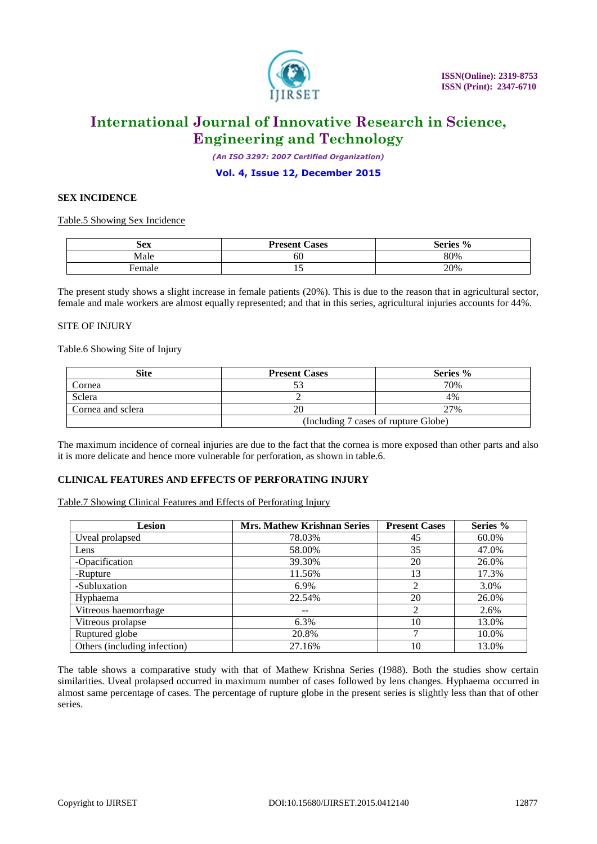

*(An ISO 3297: 2007 Certified Organization)*

**Vol. 4, Issue 12, December 2015**

#### **SEX INCIDENCE**

Table.5 Showing Sex Incidence

| Sex    | <b>Present</b><br>Cases | Series % |
|--------|-------------------------|----------|
| Male   | 60                      | 80%      |
| ⊦emale | ⊥৺                      | 20%      |

The present study shows a slight increase in female patients (20%). This is due to the reason that in agricultural sector, female and male workers are almost equally represented; and that in this series, agricultural injuries accounts for 44%.

#### SITE OF INJURY

Table.6 Showing Site of Injury

| Site              | <b>Present Cases</b>                 | Series % |  |
|-------------------|--------------------------------------|----------|--|
| Cornea            |                                      | 70%      |  |
| Sclera            |                                      | 4%       |  |
| Cornea and sclera |                                      | 27%      |  |
|                   | (Including 7 cases of rupture Globe) |          |  |

The maximum incidence of corneal injuries are due to the fact that the cornea is more exposed than other parts and also it is more delicate and hence more vulnerable for perforation, as shown in table.6.

### **CLINICAL FEATURES AND EFFECTS OF PERFORATING INJURY**

Table.7 Showing Clinical Features and Effects of Perforating Injury

| Lesion                       | <b>Mrs. Mathew Krishnan Series</b> | <b>Present Cases</b> | Series % |
|------------------------------|------------------------------------|----------------------|----------|
| Uveal prolapsed              | 78.03%                             | 45                   | 60.0%    |
| Lens                         | 58.00%                             | 35                   | 47.0%    |
| -Opacification               | 39.30%                             | 20                   | 26.0%    |
| -Rupture                     | 11.56%                             | 13                   | 17.3%    |
| -Subluxation                 | 6.9%                               | 2                    | 3.0%     |
| Hyphaema                     | 22.54%                             | 20                   | 26.0%    |
| Vitreous haemorrhage         | $- -$                              | 2                    | 2.6%     |
| Vitreous prolapse            | 6.3%                               | 10                   | 13.0%    |
| Ruptured globe               | 20.8%                              |                      | 10.0%    |
| Others (including infection) | 27.16%                             | 10                   | 13.0%    |

The table shows a comparative study with that of Mathew Krishna Series (1988). Both the studies show certain similarities. Uveal prolapsed occurred in maximum number of cases followed by lens changes. Hyphaema occurred in almost same percentage of cases. The percentage of rupture globe in the present series is slightly less than that of other series.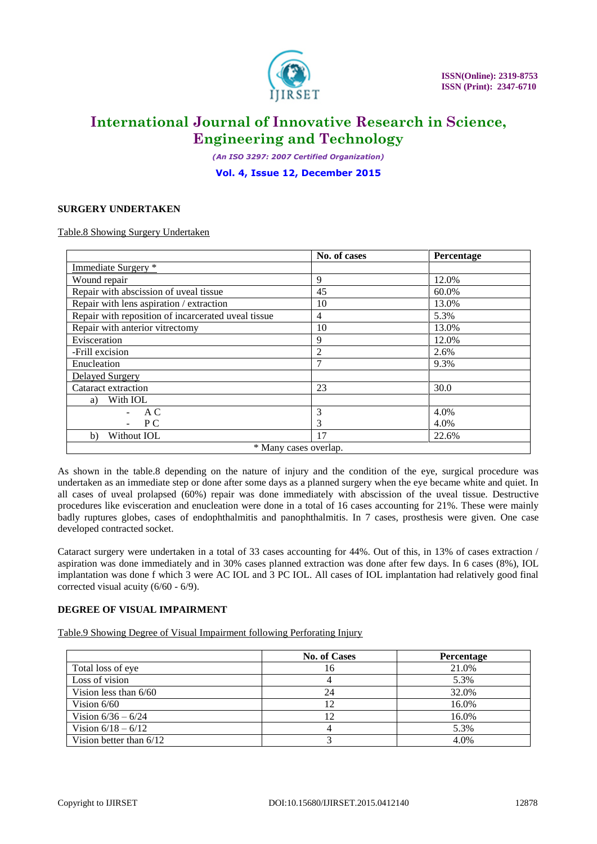

*(An ISO 3297: 2007 Certified Organization)*

**Vol. 4, Issue 12, December 2015**

### **SURGERY UNDERTAKEN**

Table.8 Showing Surgery Undertaken

|                                                     | No. of cases   | Percentage |  |  |
|-----------------------------------------------------|----------------|------------|--|--|
| Immediate Surgery *                                 |                |            |  |  |
| Wound repair                                        | 9              | 12.0%      |  |  |
| Repair with abscission of uveal tissue              | 45             | 60.0%      |  |  |
| Repair with lens aspiration / extraction            | 10             | 13.0%      |  |  |
| Repair with reposition of incarcerated uveal tissue | 4              | 5.3%       |  |  |
| Repair with anterior vitrectomy                     | 10             | 13.0%      |  |  |
| Evisceration                                        | 9              | 12.0%      |  |  |
| -Frill excision                                     | $\overline{2}$ | 2.6%       |  |  |
| Enucleation                                         | 7              | 9.3%       |  |  |
| Delayed Surgery                                     |                |            |  |  |
| Cataract extraction                                 | 23             | 30.0       |  |  |
| With IOL<br>a)                                      |                |            |  |  |
| A C                                                 | 3              | 4.0%       |  |  |
| P C                                                 | 3              | 4.0%       |  |  |
| Without IOL<br>b)                                   | 17             | 22.6%      |  |  |
| * Many cases overlap.                               |                |            |  |  |

As shown in the table.8 depending on the nature of injury and the condition of the eye, surgical procedure was undertaken as an immediate step or done after some days as a planned surgery when the eye became white and quiet. In all cases of uveal prolapsed (60%) repair was done immediately with abscission of the uveal tissue. Destructive procedures like evisceration and enucleation were done in a total of 16 cases accounting for 21%. These were mainly badly ruptures globes, cases of endophthalmitis and panophthalmitis. In 7 cases, prosthesis were given. One case developed contracted socket.

Cataract surgery were undertaken in a total of 33 cases accounting for 44%. Out of this, in 13% of cases extraction / aspiration was done immediately and in 30% cases planned extraction was done after few days. In 6 cases (8%), IOL implantation was done f which 3 were AC IOL and 3 PC IOL. All cases of IOL implantation had relatively good final corrected visual acuity (6/60 - 6/9).

### **DEGREE OF VISUAL IMPAIRMENT**

Table.9 Showing Degree of Visual Impairment following Perforating Injury

|                           | <b>No. of Cases</b> | Percentage |
|---------------------------|---------------------|------------|
| Total loss of eye         | 16                  | 21.0%      |
| Loss of vision            |                     | 5.3%       |
| Vision less than $6/60$   | 24                  | 32.0%      |
| Vision $6/60$             | 12                  | 16.0%      |
| Vision $6/36 - 6/24$      | 12                  | 16.0%      |
| Vision $6/18 - 6/12$      |                     | 5.3%       |
| Vision better than $6/12$ |                     | 4.0%       |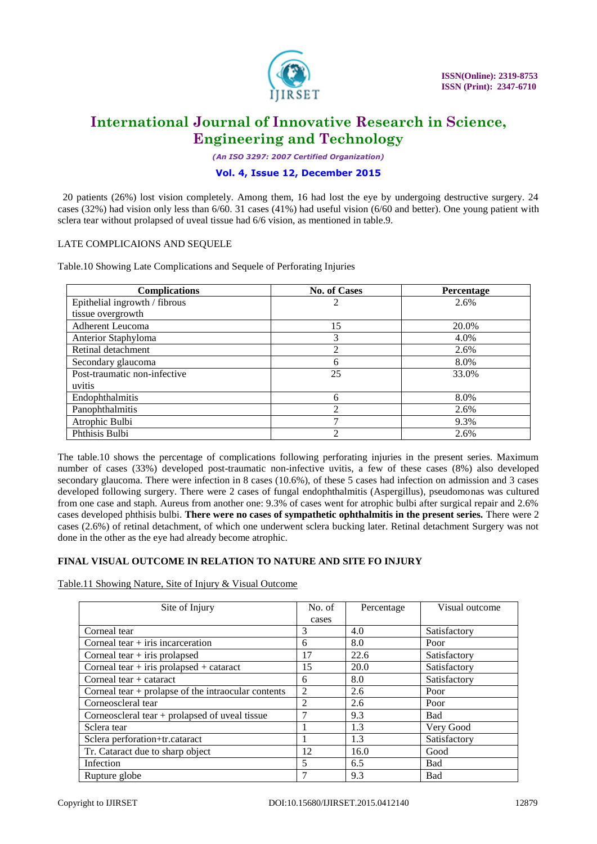

*(An ISO 3297: 2007 Certified Organization)*

### **Vol. 4, Issue 12, December 2015**

 20 patients (26%) lost vision completely. Among them, 16 had lost the eye by undergoing destructive surgery. 24 cases (32%) had vision only less than 6/60. 31 cases (41%) had useful vision (6/60 and better). One young patient with sclera tear without prolapsed of uveal tissue had 6/6 vision, as mentioned in table.9.

### LATE COMPLICAIONS AND SEQUELE

Table.10 Showing Late Complications and Sequele of Perforating Injuries

| <b>Complications</b>          | <b>No. of Cases</b> | Percentage |
|-------------------------------|---------------------|------------|
| Epithelial ingrowth / fibrous | 2                   | 2.6%       |
| tissue overgrowth             |                     |            |
| Adherent Leucoma              | 15                  | 20.0%      |
| Anterior Staphyloma           | 3                   | 4.0%       |
| Retinal detachment            | ∍                   | 2.6%       |
| Secondary glaucoma            | 6                   | 8.0%       |
| Post-traumatic non-infective  | 25                  | 33.0%      |
| uvitis                        |                     |            |
| Endophthalmitis               | 6                   | 8.0%       |
| Panophthalmitis               | ∍                   | 2.6%       |
| Atrophic Bulbi                |                     | 9.3%       |
| Phthisis Bulbi                | ∍                   | 2.6%       |

The table.10 shows the percentage of complications following perforating injuries in the present series. Maximum number of cases (33%) developed post-traumatic non-infective uvitis, a few of these cases (8%) also developed secondary glaucoma. There were infection in 8 cases (10.6%), of these 5 cases had infection on admission and 3 cases developed following surgery. There were 2 cases of fungal endophthalmitis (Aspergillus), pseudomonas was cultured from one case and staph. Aureus from another one: 9.3% of cases went for atrophic bulbi after surgical repair and 2.6% cases developed phthisis bulbi. **There were no cases of sympathetic ophthalmitis in the present series.** There were 2 cases (2.6%) of retinal detachment, of which one underwent sclera bucking later. Retinal detachment Surgery was not done in the other as the eye had already become atrophic.

# **FINAL VISUAL OUTCOME IN RELATION TO NATURE AND SITE FO INJURY**

Table.11 Showing Nature, Site of Injury & Visual Outcome

| Site of Injury                                        | No. of         | Percentage | Visual outcome |
|-------------------------------------------------------|----------------|------------|----------------|
|                                                       | cases          |            |                |
| Corneal tear                                          | 3              | 4.0        | Satisfactory   |
| Corneal tear $+$ iris incarceration                   | 6              | 8.0        | Poor           |
| Corneal tear $+$ iris prolapsed                       | 17             | 22.6       | Satisfactory   |
| Corneal tear $+$ iris prolapsed $+$ cataract          | 15             | 20.0       | Satisfactory   |
| Corneal tear $+$ cataract                             | 6              | 8.0        | Satisfactory   |
| Corneal tear $+$ prolapse of the intraocular contents | $\overline{c}$ | 2.6        | Poor           |
| Corneoscleral tear                                    | $\mathfrak{D}$ | 2.6        | Poor           |
| Corneoscleral tear $+$ prolapsed of uveal tissue      | 7              | 9.3        | <b>Bad</b>     |
| Sclera tear                                           |                | 1.3        | Very Good      |
| Sclera perforation+tr.cataract                        |                | 1.3        | Satisfactory   |
| Tr. Cataract due to sharp object                      | 12             | 16.0       | Good           |
| Infection                                             | 5              | 6.5        | Bad            |
| Rupture globe                                         | 7              | 9.3        | Bad            |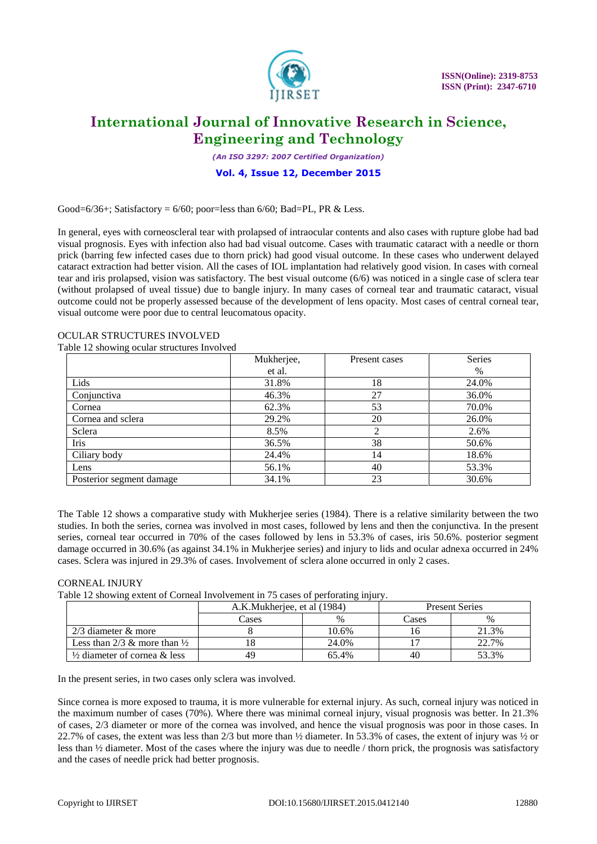

*(An ISO 3297: 2007 Certified Organization)*

### **Vol. 4, Issue 12, December 2015**

Good=6/36+; Satisfactory =  $6/60$ ; poor=less than  $6/60$ ; Bad=PL, PR & Less.

In general, eyes with corneoscleral tear with prolapsed of intraocular contents and also cases with rupture globe had bad visual prognosis. Eyes with infection also had bad visual outcome. Cases with traumatic cataract with a needle or thorn prick (barring few infected cases due to thorn prick) had good visual outcome. In these cases who underwent delayed cataract extraction had better vision. All the cases of IOL implantation had relatively good vision. In cases with corneal tear and iris prolapsed, vision was satisfactory. The best visual outcome (6/6) was noticed in a single case of sclera tear (without prolapsed of uveal tissue) due to bangle injury. In many cases of corneal tear and traumatic cataract, visual outcome could not be properly assessed because of the development of lens opacity. Most cases of central corneal tear, visual outcome were poor due to central leucomatous opacity.

### OCULAR STRUCTURES INVOLVED

Table 12 showing ocular structures Involved

| ັ                        | Mukherjee, | Present cases | Series |
|--------------------------|------------|---------------|--------|
|                          | et al.     |               | %      |
| Lids                     | 31.8%      | 18            | 24.0%  |
| Conjunctiva              | 46.3%      | 27            | 36.0%  |
| Cornea                   | 62.3%      | 53            | 70.0%  |
| Cornea and sclera        | 29.2%      | 20            | 26.0%  |
| Sclera                   | 8.5%       | 2             | 2.6%   |
| Iris                     | 36.5%      | 38            | 50.6%  |
| Ciliary body             | 24.4%      | 14            | 18.6%  |
| Lens                     | 56.1%      | 40            | 53.3%  |
| Posterior segment damage | 34.1%      | 23            | 30.6%  |

The Table 12 shows a comparative study with Mukherjee series (1984). There is a relative similarity between the two studies. In both the series, cornea was involved in most cases, followed by lens and then the conjunctiva. In the present series, corneal tear occurred in 70% of the cases followed by lens in 53.3% of cases, iris 50.6%. posterior segment damage occurred in 30.6% (as against 34.1% in Mukherjee series) and injury to lids and ocular adnexa occurred in 24% cases. Sclera was injured in 29.3% of cases. Involvement of sclera alone occurred in only 2 cases.

### CORNEAL INJURY

Table 12 showing extent of Corneal Involvement in 75 cases of perforating injury.

|                                         | A.K.Mukherjee, et al (1984) |       | <b>Present Series</b> |       |
|-----------------------------------------|-----------------------------|-------|-----------------------|-------|
|                                         | Cases                       | $\%$  | Cases                 | $\%$  |
| $2/3$ diameter $\&$ more                |                             | 10.6% |                       | 21.3% |
| Less than 2/3 & more than $\frac{1}{2}$ |                             | 24.0% |                       | 22.7% |
| $\frac{1}{2}$ diameter of cornea & less | 49                          | 65.4% | 40                    | 53.3% |

In the present series, in two cases only sclera was involved.

Since cornea is more exposed to trauma, it is more vulnerable for external injury. As such, corneal injury was noticed in the maximum number of cases (70%). Where there was minimal corneal injury, visual prognosis was better. In 21.3% of cases, 2/3 diameter or more of the cornea was involved, and hence the visual prognosis was poor in those cases. In 22.7% of cases, the extent was less than 2/3 but more than ½ diameter. In 53.3% of cases, the extent of injury was ½ or less than ½ diameter. Most of the cases where the injury was due to needle / thorn prick, the prognosis was satisfactory and the cases of needle prick had better prognosis.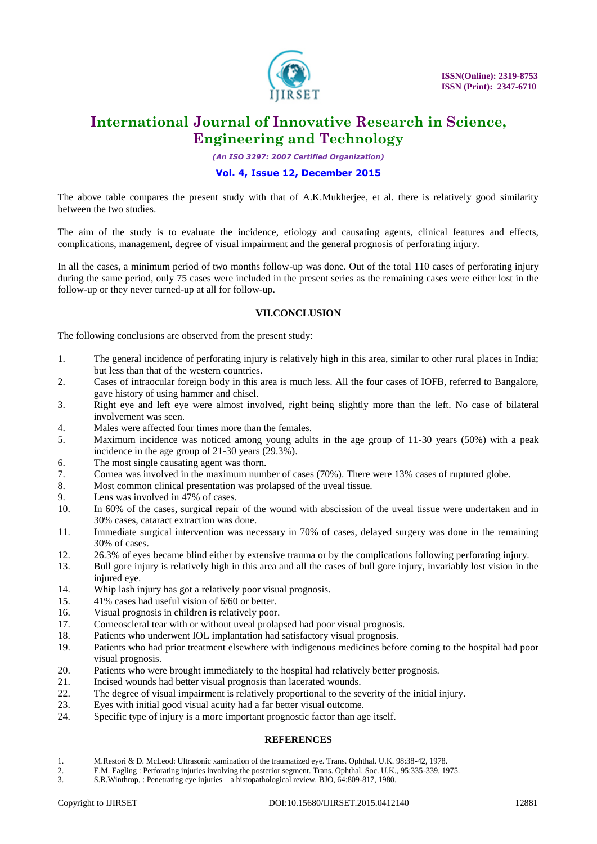

*(An ISO 3297: 2007 Certified Organization)*

### **Vol. 4, Issue 12, December 2015**

The above table compares the present study with that of A.K.Mukherjee, et al. there is relatively good similarity between the two studies.

The aim of the study is to evaluate the incidence, etiology and causating agents, clinical features and effects, complications, management, degree of visual impairment and the general prognosis of perforating injury.

In all the cases, a minimum period of two months follow-up was done. Out of the total 110 cases of perforating injury during the same period, only 75 cases were included in the present series as the remaining cases were either lost in the follow-up or they never turned-up at all for follow-up.

### **VII.CONCLUSION**

The following conclusions are observed from the present study:

- 1. The general incidence of perforating injury is relatively high in this area, similar to other rural places in India; but less than that of the western countries.
- 2. Cases of intraocular foreign body in this area is much less. All the four cases of IOFB, referred to Bangalore, gave history of using hammer and chisel.
- 3. Right eye and left eye were almost involved, right being slightly more than the left. No case of bilateral involvement was seen.
- 4. Males were affected four times more than the females.
- 5. Maximum incidence was noticed among young adults in the age group of 11-30 years (50%) with a peak incidence in the age group of 21-30 years (29.3%).
- 6. The most single causating agent was thorn.
- 7. Cornea was involved in the maximum number of cases (70%). There were 13% cases of ruptured globe.
- 8. Most common clinical presentation was prolapsed of the uveal tissue.
- 9. Lens was involved in 47% of cases.
- 10. In 60% of the cases, surgical repair of the wound with abscission of the uveal tissue were undertaken and in 30% cases, cataract extraction was done.
- 11. Immediate surgical intervention was necessary in 70% of cases, delayed surgery was done in the remaining 30% of cases.
- 12. 26.3% of eyes became blind either by extensive trauma or by the complications following perforating injury.
- 13. Bull gore injury is relatively high in this area and all the cases of bull gore injury, invariably lost vision in the injured eye.
- 14. Whip lash injury has got a relatively poor visual prognosis.
- 15. 41% cases had useful vision of 6/60 or better.
- 16. Visual prognosis in children is relatively poor.
- 17. Corneoscleral tear with or without uveal prolapsed had poor visual prognosis.
- 18. Patients who underwent IOL implantation had satisfactory visual prognosis.
- 19. Patients who had prior treatment elsewhere with indigenous medicines before coming to the hospital had poor visual prognosis.
- 20. Patients who were brought immediately to the hospital had relatively better prognosis.
- 21. Incised wounds had better visual prognosis than lacerated wounds.
- 22. The degree of visual impairment is relatively proportional to the severity of the initial injury.
- 23. Eyes with initial good visual acuity had a far better visual outcome.
- 24. Specific type of injury is a more important prognostic factor than age itself.

### **REFERENCES**

- 1. M.Restori & D. McLeod: Ultrasonic xamination of the traumatized eye. Trans. Ophthal. U.K. 98:38-42, 1978.
- 2. E.M. Eagling : Perforating injuries involving the posterior segment. Trans. Ophthal. Soc. U.K., 95:335-339, 1975.
- 3. S.R.Winthrop, : Penetrating eye injuries a histopathological review. BJO, 64:809-817, 1980.